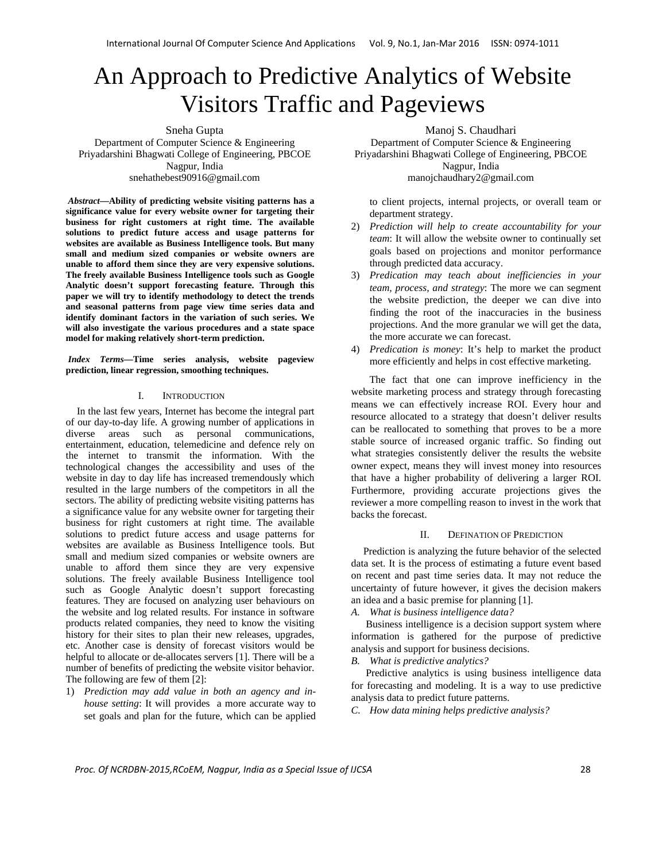# An Approach to Predictive Analytics of Website Visitors Traffic and Pageviews

Sneha Gupta

Department of Computer Science & Engineering Priyadarshini Bhagwati College of Engineering, PBCOE Nagpur, India snehathebest90916@gmail.com

 *Abstract***—Ability of predicting website visiting patterns has a significance value for every website owner for targeting their business for right customers at right time. The available solutions to predict future access and usage patterns for websites are available as Business Intelligence tools. But many small and medium sized companies or website owners are unable to afford them since they are very expensive solutions. The freely available Business Intelligence tools such as Google Analytic doesn't support forecasting feature. Through this paper we will try to identify methodology to detect the trends and seasonal patterns from page view time series data and identify dominant factors in the variation of such series. We will also investigate the various procedures and a state space model for making relatively short-term prediction.** 

 *Index Terms—***Time series analysis, website pageview prediction, linear regression, smoothing techniques.** 

#### I. INTRODUCTION

In the last few years, Internet has become the integral part of our day-to-day life. A growing number of applications in diverse areas such as personal communications, entertainment, education, telemedicine and defence rely on the internet to transmit the information. With the technological changes the accessibility and uses of the website in day to day life has increased tremendously which resulted in the large numbers of the competitors in all the sectors. The ability of predicting website visiting patterns has a significance value for any website owner for targeting their business for right customers at right time. The available solutions to predict future access and usage patterns for websites are available as Business Intelligence tools. But small and medium sized companies or website owners are unable to afford them since they are very expensive solutions. The freely available Business Intelligence tool such as Google Analytic doesn't support forecasting features. They are focused on analyzing user behaviours on the website and log related results. For instance in software products related companies, they need to know the visiting history for their sites to plan their new releases, upgrades, etc. Another case is density of forecast visitors would be helpful to allocate or de-allocates servers [1]. There will be a number of benefits of predicting the website visitor behavior. The following are few of them [2]:

1) *Prediction may add value in both an agency and inhouse setting*: It will provides a more accurate way to set goals and plan for the future, which can be applied Manoj S. Chaudhari

Department of Computer Science & Engineering Priyadarshini Bhagwati College of Engineering, PBCOE Nagpur, India manojchaudhary2@gmail.com

to client projects, internal projects, or overall team or department strategy.

- 2) *Prediction will help to create accountability for your team*: It will allow the website owner to continually set goals based on projections and monitor performance through predicted data accuracy.
- 3) *Predication may teach about inefficiencies in your team, process, and strategy*: The more we can segment the website prediction, the deeper we can dive into finding the root of the inaccuracies in the business projections. And the more granular we will get the data, the more accurate we can forecast.
- 4) *Predication is money*: It's help to market the product more efficiently and helps in cost effective marketing.

The fact that one can improve inefficiency in the website marketing process and strategy through forecasting means we can effectively increase ROI. Every hour and resource allocated to a strategy that doesn't deliver results can be reallocated to something that proves to be a more stable source of increased organic traffic. So finding out what strategies consistently deliver the results the website owner expect, means they will invest money into resources that have a higher probability of delivering a larger ROI. Furthermore, providing accurate projections gives the reviewer a more compelling reason to invest in the work that backs the forecast.

# II. DEFINATION OF PREDICTION

Prediction is analyzing the future behavior of the selected data set. It is the process of estimating a future event based on recent and past time series data. It may not reduce the uncertainty of future however, it gives the decision makers an idea and a basic premise for planning [1].

*A. What is business intelligence data?* 

Business intelligence is a decision support system where information is gathered for the purpose of predictive analysis and support for business decisions.

*B. What is predictive analytics?* 

Predictive analytics is using business intelligence data for forecasting and modeling. It is a way to use predictive analysis data to predict future patterns.

*C. How data mining helps predictive analysis?*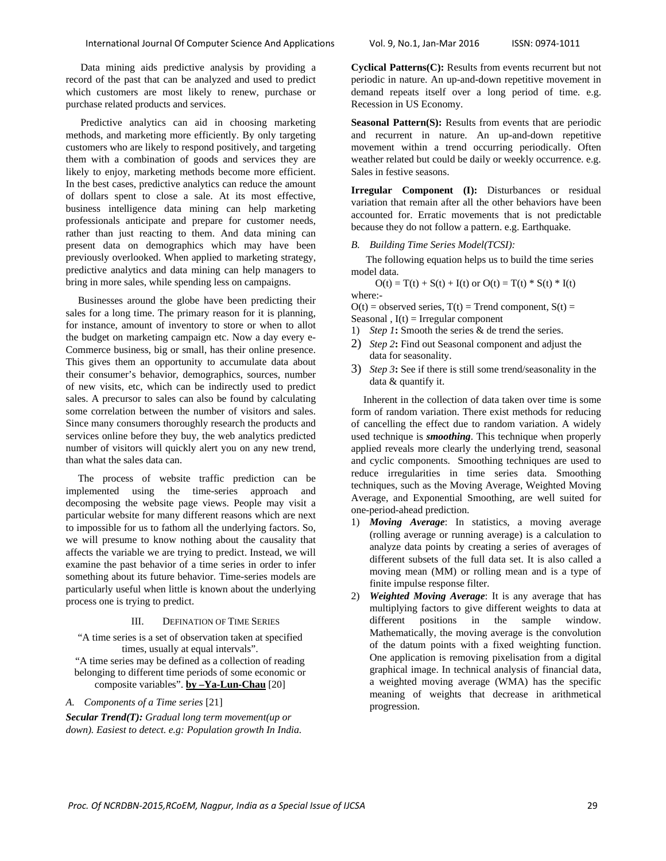Data mining aids predictive analysis by providing a record of the past that can be analyzed and used to predict which customers are most likely to renew, purchase or purchase related products and services.

Predictive analytics can aid in choosing marketing methods, and marketing more efficiently. By only targeting customers who are likely to respond positively, and targeting them with a combination of goods and services they are likely to enjoy, marketing methods become more efficient. In the best cases, predictive analytics can reduce the amount of dollars spent to close a sale. At its most effective, business intelligence data mining can help marketing professionals anticipate and prepare for customer needs, rather than just reacting to them. And data mining can present data on demographics which may have been previously overlooked. When applied to marketing strategy, predictive analytics and data mining can help managers to bring in more sales, while spending less on campaigns.

Businesses around the globe have been predicting their sales for a long time. The primary reason for it is planning, for instance, amount of inventory to store or when to allot the budget on marketing campaign etc. Now a day every e-Commerce business, big or small, has their online presence. This gives them an opportunity to accumulate data about their consumer's behavior, demographics, sources, number of new visits, etc, which can be indirectly used to predict sales. A precursor to sales can also be found by calculating some correlation between the number of visitors and sales. Since many consumers thoroughly research the products and services online before they buy, the web analytics predicted number of visitors will quickly alert you on any new trend, than what the sales data can.

The process of website traffic prediction can be implemented using the time-series approach and decomposing the website page views. People may visit a particular website for many different reasons which are next to impossible for us to fathom all the underlying factors. So, we will presume to know nothing about the causality that affects the variable we are trying to predict. Instead, we will examine the past behavior of a time series in order to infer something about its future behavior. Time-series models are particularly useful when little is known about the underlying process one is trying to predict.

# III. DEFINATION OF TIME SERIES

"A time series is a set of observation taken at specified times, usually at equal intervals". "A time series may be defined as a collection of reading belonging to different time periods of some economic or composite variables". **by –Ya-Lun-Chau** [20]

*A. Components of a Time series* [21]

*Secular Trend(T): Gradual long term movement(up or down). Easiest to detect. e.g: Population growth In India.*  **Cyclical Patterns(C):** Results from events recurrent but not periodic in nature. An up-and-down repetitive movement in demand repeats itself over a long period of time. e.g. Recession in US Economy.

**Seasonal Pattern(S):** Results from events that are periodic and recurrent in nature. An up-and-down repetitive movement within a trend occurring periodically. Often weather related but could be daily or weekly occurrence. e.g. Sales in festive seasons.

**Irregular Component (I):** Disturbances or residual variation that remain after all the other behaviors have been accounted for. Erratic movements that is not predictable because they do not follow a pattern. e.g. Earthquake.

## *B. Building Time Series Model(TCSI):*

The following equation helps us to build the time series model data.

 $O(t) = T(t) + S(t) + I(t)$  or  $O(t) = T(t) * S(t) * I(t)$ where:-

 $O(t)$  = observed series,  $T(t)$  = Trend component,  $S(t)$  = Seasonal ,  $I(t)$  = Irregular component

- 1) *Step 1***:** Smooth the series & de trend the series.
- 2) *Step 2***:** Find out Seasonal component and adjust the data for seasonality.
- 3) *Step 3***:** See if there is still some trend/seasonality in the data & quantify it.

Inherent in the collection of data taken over time is some form of random variation. There exist methods for reducing of cancelling the effect due to random variation. A widely used technique is *smoothing*. This technique when properly applied reveals more clearly the underlying trend, seasonal and cyclic components. Smoothing techniques are used to reduce irregularities in time series data. Smoothing techniques, such as the Moving Average, Weighted Moving Average, and Exponential Smoothing, are well suited for one-period-ahead prediction.

- 1) *Moving Average*: In statistics, a moving average (rolling average or running average) is a calculation to analyze data points by creating a series of averages of different subsets of the full data set. It is also called a moving mean (MM) or rolling mean and is a type of finite impulse response filter.
- 2) *Weighted Moving Average*: It is any average that has multiplying factors to give different weights to data at different positions in the sample window. Mathematically, the moving average is the convolution of the datum points with a fixed weighting function. One application is removing pixelisation from a digital graphical image. In technical analysis of financial data, a weighted moving average (WMA) has the specific meaning of weights that decrease in arithmetical progression.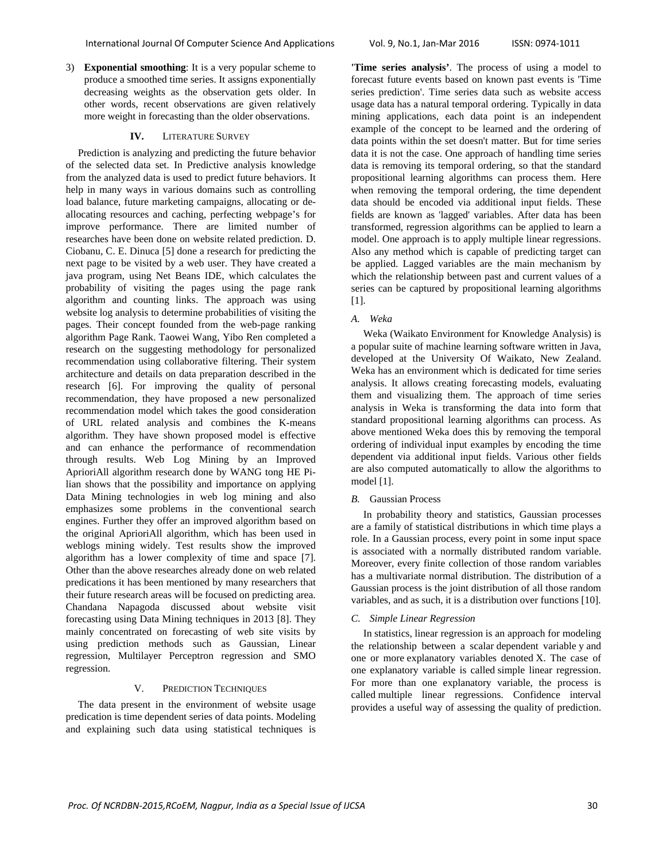3) **Exponential smoothing**: It is a very popular scheme to produce a smoothed time series. It assigns exponentially decreasing weights as the observation gets older. In other words, recent observations are given relatively more weight in forecasting than the older observations.

## **IV.** LITERATURE SURVEY

Prediction is analyzing and predicting the future behavior of the selected data set. In Predictive analysis knowledge from the analyzed data is used to predict future behaviors. It help in many ways in various domains such as controlling load balance, future marketing campaigns, allocating or deallocating resources and caching, perfecting webpage's for improve performance. There are limited number of researches have been done on website related prediction. D. Ciobanu, C. E. Dinuca [5] done a research for predicting the next page to be visited by a web user. They have created a java program, using Net Beans IDE, which calculates the probability of visiting the pages using the page rank algorithm and counting links. The approach was using website log analysis to determine probabilities of visiting the pages. Their concept founded from the web-page ranking algorithm Page Rank. Taowei Wang, Yibo Ren completed a research on the suggesting methodology for personalized recommendation using collaborative filtering. Their system architecture and details on data preparation described in the research [6]. For improving the quality of personal recommendation, they have proposed a new personalized recommendation model which takes the good consideration of URL related analysis and combines the K-means algorithm. They have shown proposed model is effective and can enhance the performance of recommendation through results. Web Log Mining by an Improved AprioriAll algorithm research done by WANG tong HE Pilian shows that the possibility and importance on applying Data Mining technologies in web log mining and also emphasizes some problems in the conventional search engines. Further they offer an improved algorithm based on the original AprioriAll algorithm, which has been used in weblogs mining widely. Test results show the improved algorithm has a lower complexity of time and space [7]. Other than the above researches already done on web related predications it has been mentioned by many researchers that their future research areas will be focused on predicting area. Chandana Napagoda discussed about website visit forecasting using Data Mining techniques in 2013 [8]. They mainly concentrated on forecasting of web site visits by using prediction methods such as Gaussian, Linear regression, Multilayer Perceptron regression and SMO regression.

# V. PREDICTION TECHNIQUES

The data present in the environment of website usage predication is time dependent series of data points. Modeling and explaining such data using statistical techniques is **'Time series analysis'**. The process of using a model to forecast future events based on known past events is 'Time series prediction'. Time series data such as website access usage data has a natural temporal ordering. Typically in data mining applications, each data point is an independent example of the concept to be learned and the ordering of data points within the set doesn't matter. But for time series data it is not the case. One approach of handling time series data is removing its temporal ordering, so that the standard propositional learning algorithms can process them. Here when removing the temporal ordering, the time dependent data should be encoded via additional input fields. These fields are known as 'lagged' variables. After data has been transformed, regression algorithms can be applied to learn a model. One approach is to apply multiple linear regressions. Also any method which is capable of predicting target can be applied. Lagged variables are the main mechanism by which the relationship between past and current values of a series can be captured by propositional learning algorithms [1].

## *A. Weka*

Weka (Waikato Environment for Knowledge Analysis) is a popular suite of machine learning software written in Java, developed at the University Of Waikato, New Zealand. Weka has an environment which is dedicated for time series analysis. It allows creating forecasting models, evaluating them and visualizing them. The approach of time series analysis in Weka is transforming the data into form that standard propositional learning algorithms can process. As above mentioned Weka does this by removing the temporal ordering of individual input examples by encoding the time dependent via additional input fields. Various other fields are also computed automatically to allow the algorithms to model [1].

#### *B.* Gaussian Process

In probability theory and statistics, Gaussian processes are a family of statistical distributions in which time plays a role. In a Gaussian process, every point in some input space is associated with a normally distributed random variable. Moreover, every finite collection of those random variables has a multivariate normal distribution. The distribution of a Gaussian process is the joint distribution of all those random variables, and as such, it is a distribution over functions [10].

## *C. Simple Linear Regression*

In statistics, linear regression is an approach for modeling the relationship between a scalar dependent variable y and one or more explanatory variables denoted X. The case of one explanatory variable is called simple linear regression. For more than one explanatory variable, the process is called multiple linear regressions. Confidence interval provides a useful way of assessing the quality of prediction.